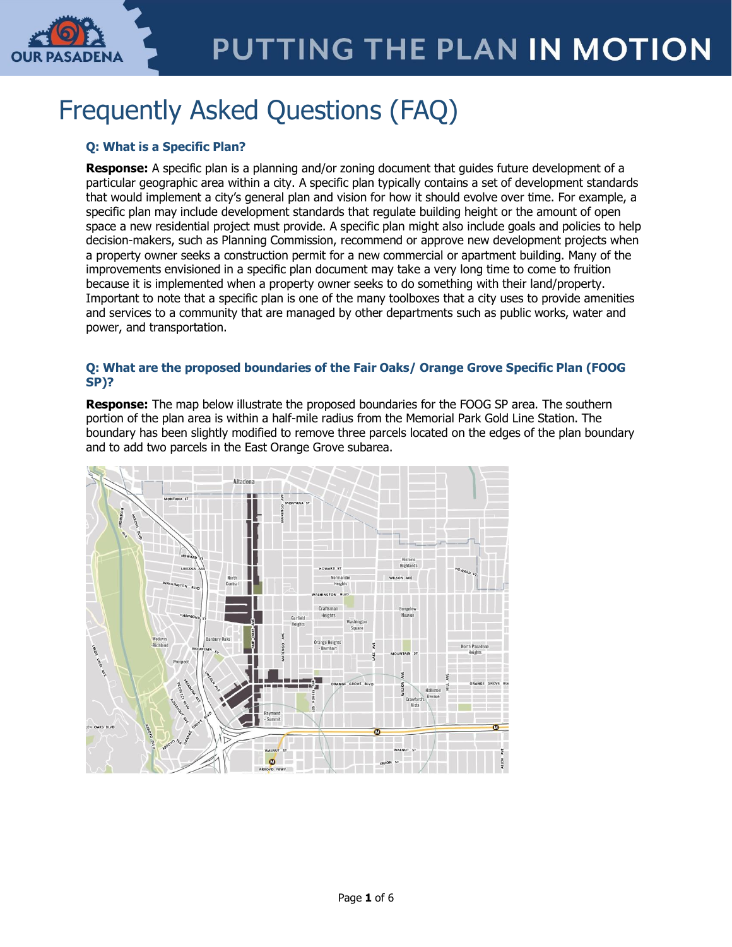

# Frequently Asked Questions (FAQ)

# **Q: What is a Specific Plan?**

**Response:** A specific plan is a planning and/or zoning document that guides future development of a particular geographic area within a city. A specific plan typically contains a set of development standards that would implement a city's general plan and vision for how it should evolve over time. For example, a specific plan may include development standards that regulate building height or the amount of open space a new residential project must provide. A specific plan might also include goals and policies to help decision-makers, such as Planning Commission, recommend or approve new development projects when a property owner seeks a construction permit for a new commercial or apartment building. Many of the improvements envisioned in a specific plan document may take a very long time to come to fruition because it is implemented when a property owner seeks to do something with their land/property. Important to note that a specific plan is one of the many toolboxes that a city uses to provide amenities and services to a community that are managed by other departments such as public works, water and power, and transportation.

# **Q: What are the proposed boundaries of the Fair Oaks/ Orange Grove Specific Plan (FOOG SP)?**

**Response:** The map below illustrate the proposed boundaries for the FOOG SP area. The southern portion of the plan area is within a half-mile radius from the Memorial Park Gold Line Station. The boundary has been slightly modified to remove three parcels located on the edges of the plan boundary and to add two parcels in the East Orange Grove subarea.

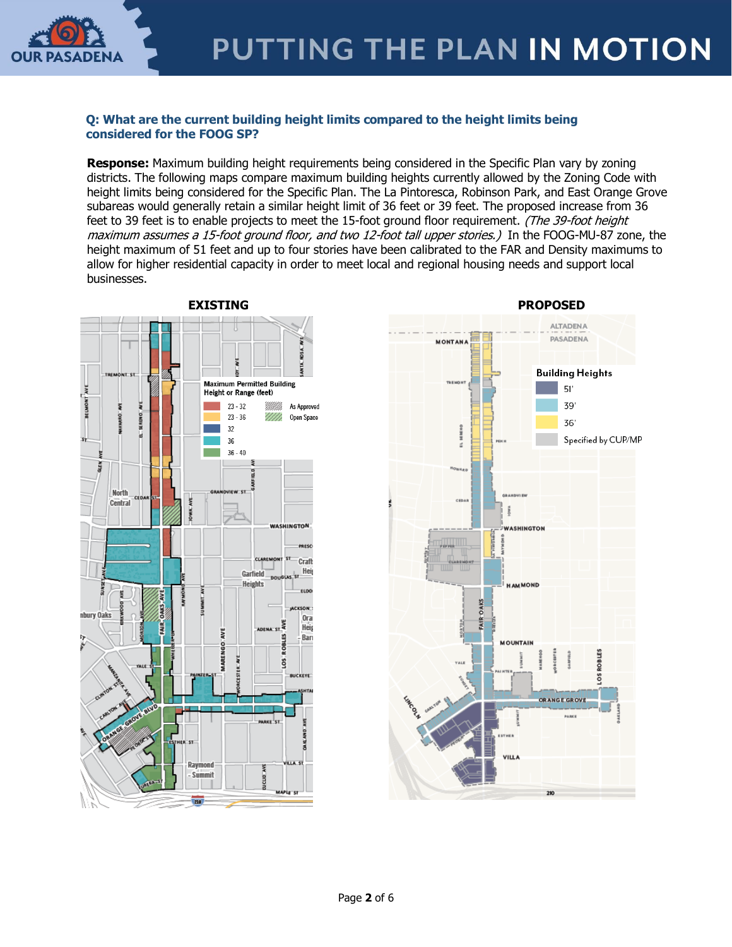

### **Q: What are the current building height limits compared to the height limits being considered for the FOOG SP?**

**Response:** Maximum building height requirements being considered in the Specific Plan vary by zoning districts. The following maps compare maximum building heights currently allowed by the Zoning Code with height limits being considered for the Specific Plan. The La Pintoresca, Robinson Park, and East Orange Grove subareas would generally retain a similar height limit of 36 feet or 39 feet. The proposed increase from 36 feet to 39 feet is to enable projects to meet the 15-foot ground floor requirement. (The 39-foot height maximum assumes a 15-foot ground floor, and two 12-foot tall upper stories.) In the FOOG-MU-87 zone, the height maximum of 51 feet and up to four stories have been calibrated to the FAR and Density maximums to allow for higher residential capacity in order to meet local and regional housing needs and support local businesses.



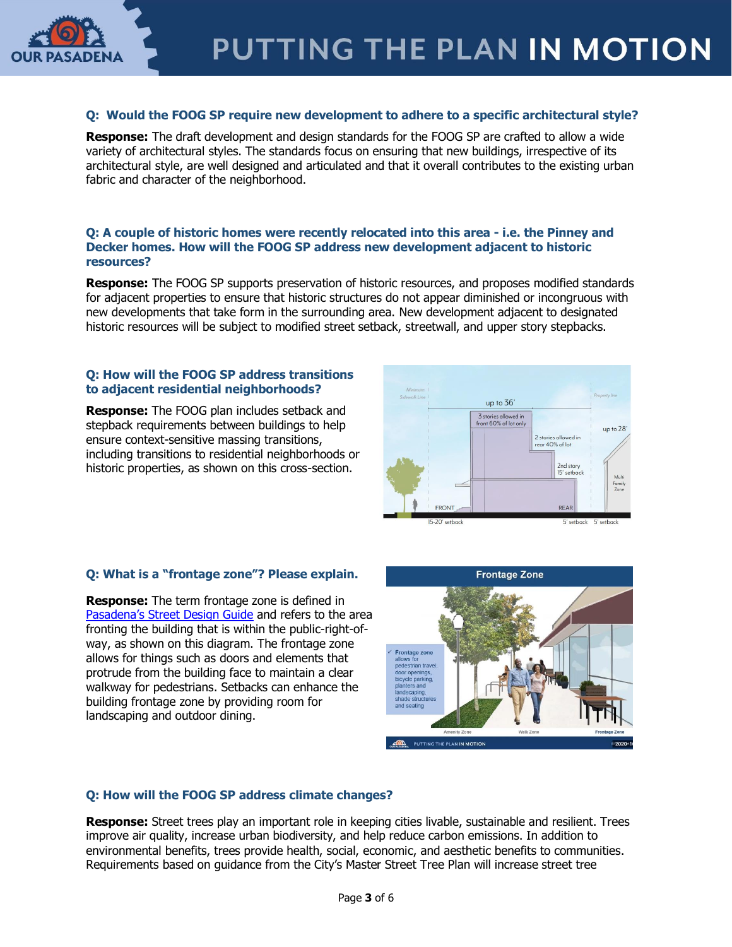

# **Q: Would the FOOG SP require new development to adhere to a specific architectural style?**

**Response:** The draft development and design standards for the FOOG SP are crafted to allow a wide variety of architectural styles. The standards focus on ensuring that new buildings, irrespective of its architectural style, are well designed and articulated and that it overall contributes to the existing urban fabric and character of the neighborhood.

### **Q: A couple of historic homes were recently relocated into this area - i.e. the Pinney and Decker homes. How will the FOOG SP address new development adjacent to historic resources?**

**Response:** The FOOG SP supports preservation of historic resources, and proposes modified standards for adjacent properties to ensure that historic structures do not appear diminished or incongruous with new developments that take form in the surrounding area. New development adjacent to designated historic resources will be subject to modified street setback, streetwall, and upper story stepbacks.

### **Q: How will the FOOG SP address transitions to adjacent residential neighborhoods?**

**Response:** The FOOG plan includes setback and stepback requirements between buildings to help ensure context-sensitive massing transitions, including transitions to residential neighborhoods or historic properties, as shown on this cross-section.



### **Q: What is a "frontage zone"? Please explain.**

**Response:** The term frontage zone is defined in [Pasadena's Street Design Guide](https://www.cityofpasadena.net/transportation/wp-content/uploads/sites/20/Pasadena-Design-Guidelines-3-22-17.pdf) and refers to the area fronting the building that is within the public-right-ofway, as shown on this diagram. The frontage zone allows for things such as doors and elements that protrude from the building face to maintain a clear walkway for pedestrians. Setbacks can enhance the building frontage zone by providing room for landscaping and outdoor dining.



### **Q: How will the FOOG SP address climate changes?**

**Response:** Street trees play an important role in keeping cities livable, sustainable and resilient. Trees improve air quality, increase urban biodiversity, and help reduce carbon emissions. In addition to environmental benefits, trees provide health, social, economic, and aesthetic benefits to communities. Requirements based on guidance from the City's Master Street Tree Plan will increase street tree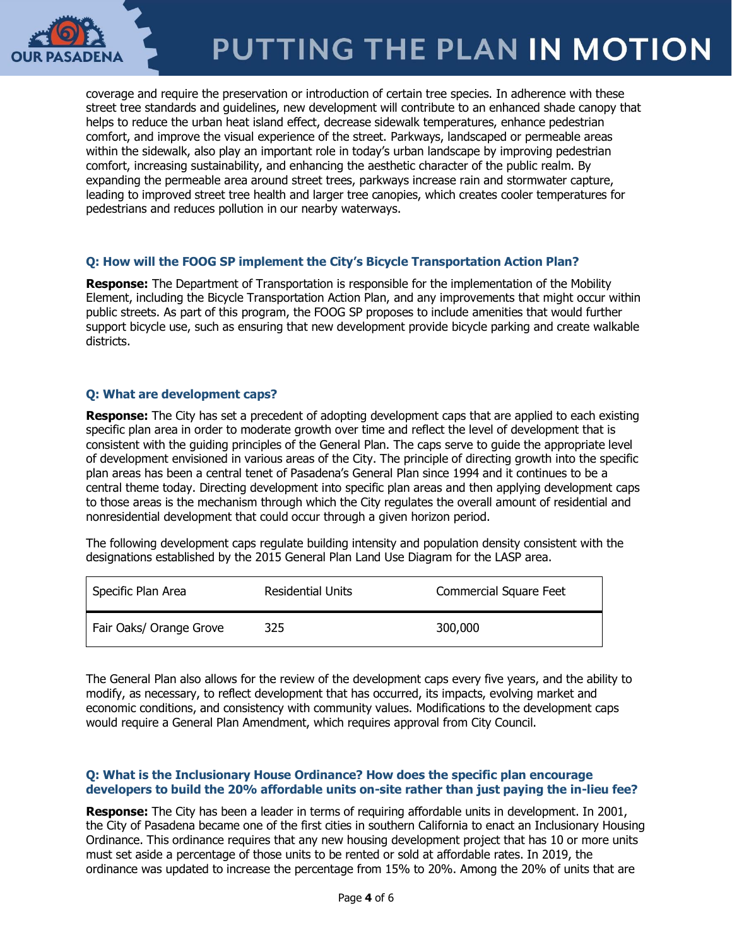

# PUTTING THE PLAN IN MOTION

coverage and require the preservation or introduction of certain tree species. In adherence with these street tree standards and guidelines, new development will contribute to an enhanced shade canopy that helps to reduce the urban heat island effect, decrease sidewalk temperatures, enhance pedestrian comfort, and improve the visual experience of the street. Parkways, landscaped or permeable areas within the sidewalk, also play an important role in today's urban landscape by improving pedestrian comfort, increasing sustainability, and enhancing the aesthetic character of the public realm. By expanding the permeable area around street trees, parkways increase rain and stormwater capture, leading to improved street tree health and larger tree canopies, which creates cooler temperatures for pedestrians and reduces pollution in our nearby waterways.

### **Q: How will the FOOG SP implement the City's Bicycle Transportation Action Plan?**

**Response:** The Department of Transportation is responsible for the implementation of the Mobility Element, including the Bicycle Transportation Action Plan, and any improvements that might occur within public streets. As part of this program, the FOOG SP proposes to include amenities that would further support bicycle use, such as ensuring that new development provide bicycle parking and create walkable districts.

### **Q: What are development caps?**

**Response:** The City has set a precedent of adopting development caps that are applied to each existing specific plan area in order to moderate growth over time and reflect the level of development that is consistent with the guiding principles of the General Plan. The caps serve to guide the appropriate level of development envisioned in various areas of the City. The principle of directing growth into the specific plan areas has been a central tenet of Pasadena's General Plan since 1994 and it continues to be a central theme today. Directing development into specific plan areas and then applying development caps to those areas is the mechanism through which the City regulates the overall amount of residential and nonresidential development that could occur through a given horizon period.

The following development caps regulate building intensity and population density consistent with the designations established by the 2015 General Plan Land Use Diagram for the LASP area.

| Specific Plan Area      | Residential Units | <b>Commercial Square Feet</b> |
|-------------------------|-------------------|-------------------------------|
| Fair Oaks/ Orange Grove | 325               | 300,000                       |

The General Plan also allows for the review of the development caps every five years, and the ability to modify, as necessary, to reflect development that has occurred, its impacts, evolving market and economic conditions, and consistency with community values. Modifications to the development caps would require a General Plan Amendment, which requires approval from City Council.

### **Q: What is the Inclusionary House Ordinance? How does the specific plan encourage developers to build the 20% affordable units on-site rather than just paying the in-lieu fee?**

**Response:** The City has been a leader in terms of requiring affordable units in development. In 2001, the City of Pasadena became one of the first cities in southern California to enact an Inclusionary Housing Ordinance. This ordinance requires that any new housing development project that has 10 or more units must set aside a percentage of those units to be rented or sold at affordable rates. In 2019, the ordinance was updated to increase the percentage from 15% to 20%. Among the 20% of units that are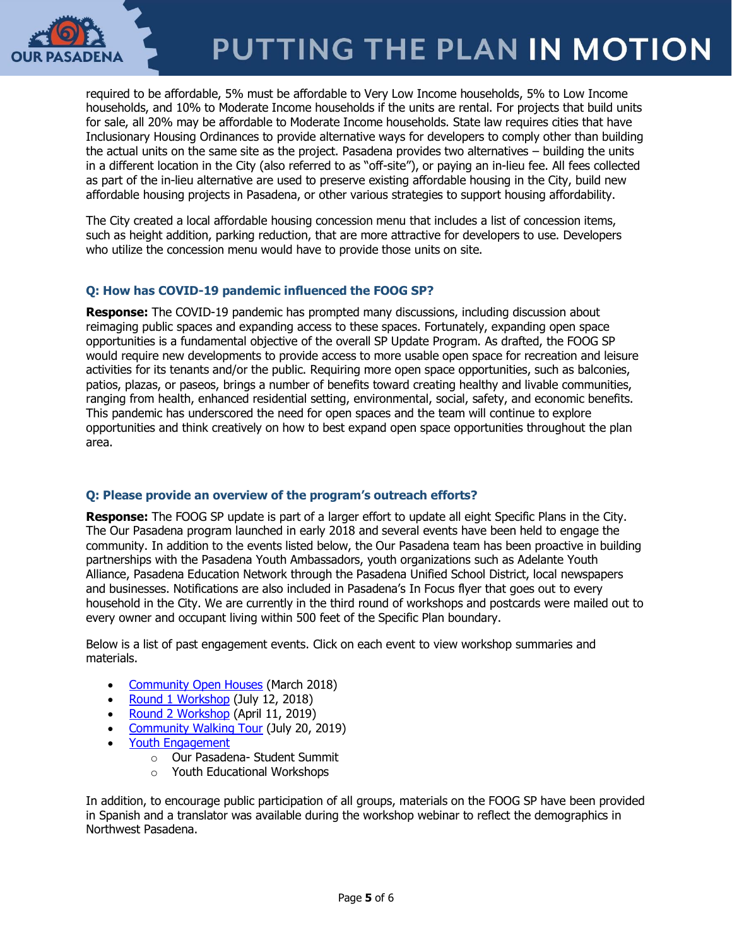

required to be affordable, 5% must be affordable to Very Low Income households, 5% to Low Income households, and 10% to Moderate Income households if the units are rental. For projects that build units for sale, all 20% may be affordable to Moderate Income households. State law requires cities that have Inclusionary Housing Ordinances to provide alternative ways for developers to comply other than building the actual units on the same site as the project. Pasadena provides two alternatives – building the units in a different location in the City (also referred to as "off-site"), or paying an in-lieu fee. All fees collected as part of the in-lieu alternative are used to preserve existing affordable housing in the City, build new affordable housing projects in Pasadena, or other various strategies to support housing affordability.

The City created a local affordable housing concession menu that includes a list of concession items, such as height addition, parking reduction, that are more attractive for developers to use. Developers who utilize the concession menu would have to provide those units on site.

# **Q: How has COVID-19 pandemic influenced the FOOG SP?**

**Response:** The COVID-19 pandemic has prompted many discussions, including discussion about reimaging public spaces and expanding access to these spaces. Fortunately, expanding open space opportunities is a fundamental objective of the overall SP Update Program. As drafted, the FOOG SP would require new developments to provide access to more usable open space for recreation and leisure activities for its tenants and/or the public. Requiring more open space opportunities, such as balconies, patios, plazas, or paseos, brings a number of benefits toward creating healthy and livable communities, ranging from health, enhanced residential setting, environmental, social, safety, and economic benefits. This pandemic has underscored the need for open spaces and the team will continue to explore opportunities and think creatively on how to best expand open space opportunities throughout the plan area.

# **Q: Please provide an overview of the program's outreach efforts?**

**Response:** The FOOG SP update is part of a larger effort to update all eight Specific Plans in the City. The Our Pasadena program launched in early 2018 and several events have been held to engage the community. In addition to the events listed below, the Our Pasadena team has been proactive in building partnerships with the Pasadena Youth Ambassadors, youth organizations such as Adelante Youth Alliance, Pasadena Education Network through the Pasadena Unified School District, local newspapers and businesses. Notifications are also included in Pasadena's In Focus flyer that goes out to every household in the City. We are currently in the third round of workshops and postcards were mailed out to every owner and occupant living within 500 feet of the Specific Plan boundary.

Below is a list of past engagement events. Click on each event to view workshop summaries and materials.

- [Community Open Houses](https://www.ourpasadena.org/march-open-houses) (March 2018)
- [Round 1 Workshop](https://www.ourpasadena.org/app_pages/view/200) (July 12, 2018)
- [Round 2 Workshop](https://www.ourpasadena.org/FOOG-Round2-Materials) (April 11, 2019)
- [Community Walking Tour](https://www.ourpasadena.org/FOOG-WalkingTour--Summary) (July 20, 2019)
- [Youth Engagement](https://www.ourpasadena.org/student-engagement)
	- o Our Pasadena- Student Summit
	- o Youth Educational Workshops

In addition, to encourage public participation of all groups, materials on the FOOG SP have been provided in Spanish and a translator was available during the workshop webinar to reflect the demographics in Northwest Pasadena.